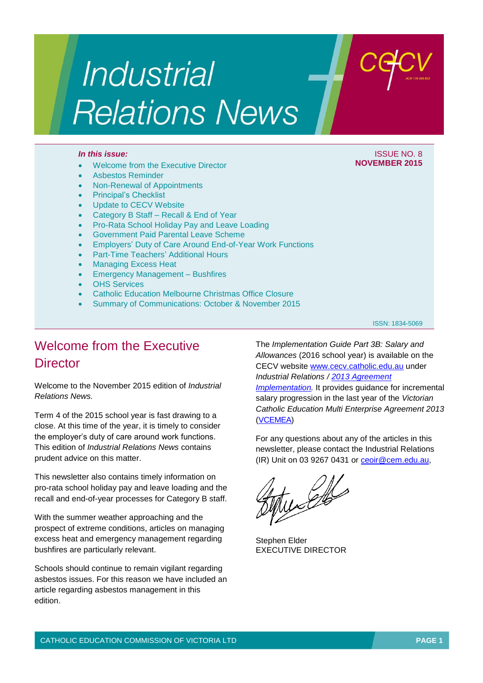# Industrial **Relations News**

- Welcome from the Executive Director
- Asbestos Reminder
- Non-Renewal of Appointments
- Principal's Checklist
- Update to CECV Website
- Category B Staff Recall & End of Year
- Pro-Rata School Holiday Pay and Leave Loading
- Government Paid Parental Leave Scheme
- Employers' Duty of Care Around End-of-Year Work Functions
- Part-Time Teachers' Additional Hours
- Managing Excess Heat
- Emergency Management Bushfires
- OHS Services
- Catholic Education Melbourne Christmas Office Closure
- Summary of Communications: October & November 2015

#### ISSN: 1834-5069

### Welcome from the Executive **Director**

Welcome to the November 2015 edition of *Industrial Relations News.*

Term 4 of the 2015 school year is fast drawing to a close. At this time of the year, it is timely to consider the employer's duty of care around work functions. This edition of *Industrial Relations News* contains prudent advice on this matter.

This newsletter also contains timely information on pro-rata school holiday pay and leave loading and the recall and end-of-year processes for Category B staff.

With the summer weather approaching and the prospect of extreme conditions, articles on managing excess heat and emergency management regarding bushfires are particularly relevant.

Schools should continue to remain vigilant regarding asbestos issues. For this reason we have included an article regarding asbestos management in this edition.

The *Implementation Guide Part 3B: Salary and Allowances* (2016 school year) is available on the CECV website [www.cecv.catholic.edu.au](http://www.cecv.catholic.edu.au/) under *Industrial Relations / [2013 Agreement](http://www.cecv.catholic.edu.au/vcsa/Implementation_Guidelines/implementation_guides.htm)  [Implementation.](http://www.cecv.catholic.edu.au/vcsa/Implementation_Guidelines/implementation_guides.htm)* It provides guidance for incremental salary progression in the last year of the *Victorian Catholic Education Multi Enterprise Agreement 2013* [\(VCEMEA\)](http://www.cecv.catholic.edu.au/vcsa/Agreement_2013/VCEMEA_2013.pdf)

For any questions about any of the articles in this newsletter, please contact the Industrial Relations (IR) Unit on 03 9267 0431 or [ceoir@cem.edu.au,](mailto:ceoir@cem.edu.au)

 $\mathscr{L}$ 

Stephen Elder EXECUTIVE DIRECTOR

### *In this issue:* ISSUE NO. 8 **NOVEMBER 2015**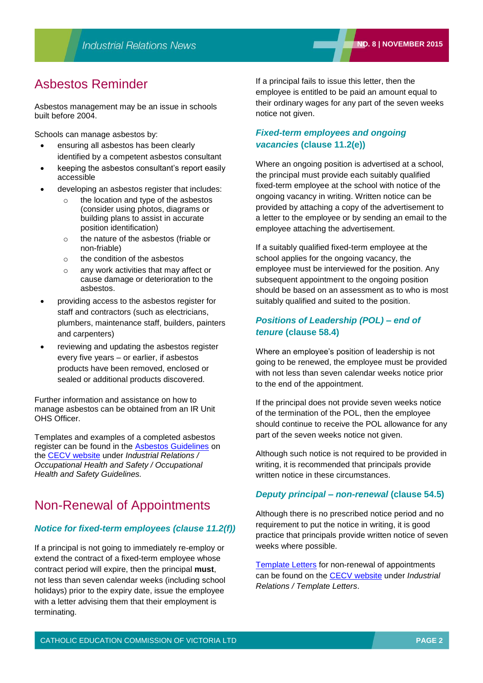### Asbestos Reminder

Asbestos management may be an issue in schools built before 2004.

Schools can manage asbestos by:

- ensuring all asbestos has been clearly identified by a competent asbestos consultant
- keeping the asbestos consultant's report easily accessible
- developing an asbestos register that includes:
	- the location and type of the asbestos (consider using photos, diagrams or building plans to assist in accurate position identification)
	- o the nature of the asbestos (friable or non-friable)
	- o the condition of the asbestos
	- o any work activities that may affect or cause damage or deterioration to the asbestos.
- providing access to the asbestos register for staff and contractors (such as electricians, plumbers, maintenance staff, builders, painters and carpenters)
- reviewing and updating the asbestos register every five years – or earlier, if asbestos products have been removed, enclosed or sealed or additional products discovered.

Further information and assistance on how to manage asbestos can be obtained from an IR Unit OHS Officer.

Templates and examples of a completed asbestos register can be found in the [Asbestos Guidelines](http://web.cecv.catholic.edu.au/vcsa/ohands/guidelines/asbestos.html) on the [CECV website](http://www.cecv.catholic.edu.au/default.htm) under *Industrial Relations / Occupational Health and Safety / Occupational Health and Safety Guidelines.* 

### Non-Renewal of Appointments

#### *Notice for fixed-term employees (clause 11.2(f))*

If a principal is not going to immediately re-employ or extend the contract of a fixed-term employee whose contract period will expire, then the principal **must**, not less than seven calendar weeks (including school holidays) prior to the expiry date, issue the employee with a letter advising them that their employment is terminating.

If a principal fails to issue this letter, then the employee is entitled to be paid an amount equal to their ordinary wages for any part of the seven weeks notice not given.

### *Fixed-term employees and ongoing vacancies* **(clause 11.2(e))**

Where an ongoing position is advertised at a school, the principal must provide each suitably qualified fixed-term employee at the school with notice of the ongoing vacancy in writing. Written notice can be provided by attaching a copy of the advertisement to a letter to the employee or by sending an email to the employee attaching the advertisement.

If a suitably qualified fixed-term employee at the school applies for the ongoing vacancy, the employee must be interviewed for the position. Any subsequent appointment to the ongoing position should be based on an assessment as to who is most suitably qualified and suited to the position.

### *Positions of Leadership (POL) – end of tenure* **(clause 58.4)**

Where an employee's position of leadership is not going to be renewed, the employee must be provided with not less than seven calendar weeks notice prior to the end of the appointment.

If the principal does not provide seven weeks notice of the termination of the POL, then the employee should continue to receive the POL allowance for any part of the seven weeks notice not given.

Although such notice is not required to be provided in writing, it is recommended that principals provide written notice in these circumstances.

#### *Deputy principal – non-renewal* **(clause 54.5)**

Although there is no prescribed notice period and no requirement to put the notice in writing, it is good practice that principals provide written notice of seven weeks where possible.

[Template Letters](http://web.cecv.catholic.edu.au/vcsa/lettersofappointment/instructions.html) for non-renewal of appointments can be found on the [CECV website](http://www.cecv.catholic.edu.au/default.htm) under *Industrial Relations / Template Letters*.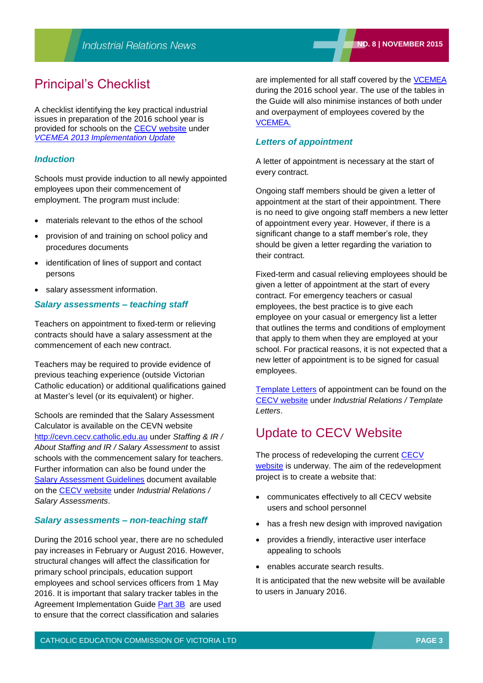### Principal's Checklist

A checklist identifying the key practical industrial issues in preparation of the 2016 school year is provided for schools on the [CECV website](http://www.cecv.catholic.edu.au/default.htm) under *[VCEMEA 2013 Implementation Update](http://web.cecv.catholic.edu.au/vcsa/Implementation_Guidelines/Implementation%20Updates/VCEMEA_implementation_and_checklist_2015.pdf)*

#### *Induction*

Schools must provide induction to all newly appointed employees upon their commencement of employment. The program must include:

- materials relevant to the ethos of the school
- provision of and training on school policy and procedures documents
- identification of lines of support and contact persons
- salary assessment information.

#### *Salary assessments – teaching staff*

Teachers on appointment to fixed-term or relieving contracts should have a salary assessment at the commencement of each new contract.

Teachers may be required to provide evidence of previous teaching experience (outside Victorian Catholic education) or additional qualifications gained at Master's level (or its equivalent) or higher.

Schools are reminded that the Salary Assessment Calculator is available on the CEVN website [http://cevn.cecv.catholic.edu.au](http://cevn.cecv.catholic.edu.au/) under *Staffing & IR / About Staffing and IR / Salary Assessment* to assist schools with the commencement salary for teachers. Further information can also be found under the [Salary Assessment Guidelines](http://www.cecv.catholic.edu.au/vcsa/SalAssess/Salary_Assessment_Guidelines.pdf) document available on the [CECV website](http://www.cecv.catholic.edu.au/default.htm) under *Industrial Relations / Salary Assessments*.

#### *Salary assessments – non-teaching staff*

During the 2016 school year, there are no scheduled pay increases in February or August 2016. However, structural changes will affect the classification for primary school principals, education support employees and school services officers from 1 May 2016. It is important that salary tracker tables in the Agreement Implementation Guide [Part 3B](http://web.cecv.catholic.edu.au/vcsa/Implementation_Guidelines/Salary_Implementation/Part_3_B.pdf) are used to ensure that the correct classification and salaries

are implemented for all staff covered by the [VCEMEA](http://www.cecv.catholic.edu.au/vcsa/Agreement_2013/VCEMEA_2013.pdf) during the 2016 school year. The use of the tables in the Guide will also minimise instances of both under and overpayment of employees covered by the [VCEMEA.](http://www.cecv.catholic.edu.au/vcsa/Agreement_2013/VCEMEA_2013.pdf)

#### *Letters of appointment*

A letter of appointment is necessary at the start of every contract.

Ongoing staff members should be given a letter of appointment at the start of their appointment. There is no need to give ongoing staff members a new letter of appointment every year. However, if there is a significant change to a staff member's role, they should be given a letter regarding the variation to their contract.

Fixed-term and casual relieving employees should be given a letter of appointment at the start of every contract. For emergency teachers or casual employees, the best practice is to give each employee on your casual or emergency list a letter that outlines the terms and conditions of employment that apply to them when they are employed at your school. For practical reasons, it is not expected that a new letter of appointment is to be signed for casual employees.

[Template Letters](http://web.cecv.catholic.edu.au/vcsa/lettersofappointment/instructions.html) of appointment can be found on the [CECV website](http://www.cecv.catholic.edu.au/default.htm) under *Industrial Relations / Template Letters*.

### Update to CECV Website

The process of redeveloping the current CECV [website](http://www.cecv.catholic.edu.au/default.htm) is underway. The aim of the redevelopment project is to create a website that:

- communicates effectively to all CECV website users and school personnel
- has a fresh new design with improved navigation
- provides a friendly, interactive user interface appealing to schools
- enables accurate search results.

It is anticipated that the new website will be available to users in January 2016.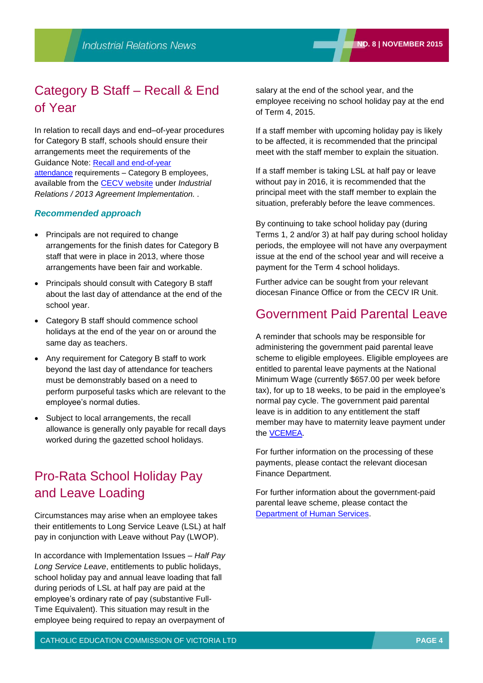## Category B Staff – Recall & End of Year

In relation to recall days and end–of-year procedures for Category B staff, schools should ensure their arrangements meet the requirements of the Guidance Note: [Recall and end-of-year](http://www.cecv.catholic.edu.au/vcsa/Implementation_Guidelines/Guidance%20Notes/Guidance_Note_Category_B_Recall_End_of_Year_Procedures.pdf)  [attendance](http://www.cecv.catholic.edu.au/vcsa/Implementation_Guidelines/Guidance%20Notes/Guidance_Note_Category_B_Recall_End_of_Year_Procedures.pdf) requirements – Category B employees, available from the CECV [website](http://www.cecv.catholic.edu.au/default.htm) under *Industrial Relations / 2013 Agreement Implementation. .*

#### *Recommended approach*

- Principals are not required to change arrangements for the finish dates for Category B staff that were in place in 2013, where those arrangements have been fair and workable.
- Principals should consult with Category B staff about the last day of attendance at the end of the school year.
- Category B staff should commence school holidays at the end of the year on or around the same day as teachers.
- Any requirement for Category B staff to work beyond the last day of attendance for teachers must be demonstrably based on a need to perform purposeful tasks which are relevant to the employee's normal duties.
- Subject to local arrangements, the recall allowance is generally only payable for recall days worked during the gazetted school holidays.

### Pro-Rata School Holiday Pay and Leave Loading

Circumstances may arise when an employee takes their entitlements to Long Service Leave (LSL) at half pay in conjunction with Leave without Pay (LWOP).

In accordance with Implementation Issues – *Half Pay Long Service Leave*, entitlements to public holidays, school holiday pay and annual leave loading that fall during periods of LSL at half pay are paid at the employee's ordinary rate of pay (substantive Full-Time Equivalent). This situation may result in the employee being required to repay an overpayment of

salary at the end of the school year, and the employee receiving no school holiday pay at the end of Term 4, 2015.

If a staff member with upcoming holiday pay is likely to be affected, it is recommended that the principal meet with the staff member to explain the situation.

If a staff member is taking LSL at half pay or leave without pay in 2016, it is recommended that the principal meet with the staff member to explain the situation, preferably before the leave commences.

By continuing to take school holiday pay (during Terms 1, 2 and/or 3) at half pay during school holiday periods, the employee will not have any overpayment issue at the end of the school year and will receive a payment for the Term 4 school holidays.

Further advice can be sought from your relevant diocesan Finance Office or from the CECV IR Unit.

### Government Paid Parental Leave

A reminder that schools may be responsible for administering the government paid parental leave scheme to eligible employees. Eligible employees are entitled to parental leave payments at the National Minimum Wage (currently \$657.00 per week before tax), for up to 18 weeks, to be paid in the employee's normal pay cycle. The government paid parental leave is in addition to any entitlement the staff member may have to maternity leave payment under the [VCEMEA.](http://www.cecv.catholic.edu.au/vcsa/Agreement_2013/VCEMEA_2013.pdf)

For further information on the processing of these payments, please contact the relevant diocesan Finance Department.

For further information about the government-paid parental leave scheme, please contact the [Department of Human Services.](http://humanservices-search.clients.funnelback.com/s/redirect?rank=1&collection=humanservices&url=http%3A%2F%2Fwww.humanservices.gov.au%2Fcustomer%2Fservices%2Fcentrelink%2Fparental-leave-pay&index_url=http%3A%2F%2Fwww.humanservices.gov.au%2Fcustomer%2Fservices%2Fcentrelink%2Fparental-leave-pay&auth=sMONezwwYeECzxhBfrQoOw&query=parental+leave&profile=humanservicesportfolio)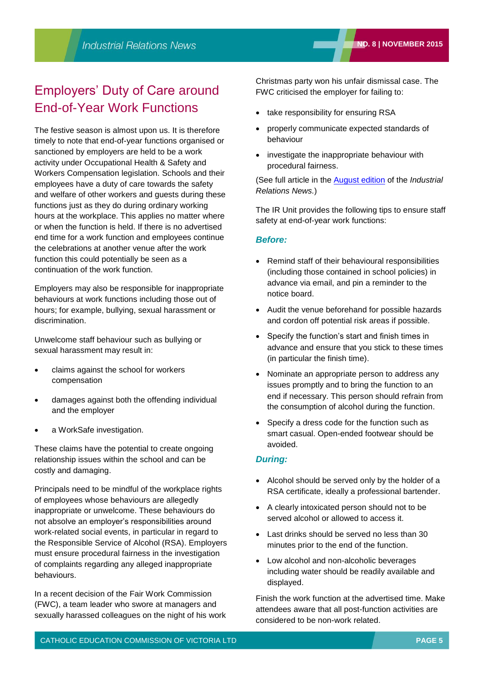### Employers' Duty of Care around End-of-Year Work Functions

The festive season is almost upon us. It is therefore timely to note that end-of-year functions organised or sanctioned by employers are held to be a work activity under Occupational Health & Safety and Workers Compensation legislation. Schools and their employees have a duty of care towards the safety and welfare of other workers and guests during these functions just as they do during ordinary working hours at the workplace. This applies no matter where or when the function is held. If there is no advertised end time for a work function and employees continue the celebrations at another venue after the work function this could potentially be seen as a continuation of the work function.

Employers may also be responsible for inappropriate behaviours at work functions including those out of hours; for example, bullying, sexual harassment or discrimination.

Unwelcome staff behaviour such as bullying or sexual harassment may result in:

- claims against the school for workers compensation
- damages against both the offending individual and the employer
- a WorkSafe investigation.

These claims have the potential to create ongoing relationship issues within the school and can be costly and damaging.

Principals need to be mindful of the workplace rights of employees whose behaviours are allegedly inappropriate or unwelcome. These behaviours do not absolve an employer's responsibilities around work-related social events, in particular in regard to the Responsible Service of Alcohol (RSA). Employers must ensure procedural fairness in the investigation of complaints regarding any alleged inappropriate behaviours.

In a recent decision of the Fair Work Commission (FWC), a team leader who swore at managers and sexually harassed colleagues on the night of his work Christmas party won his unfair dismissal case. The FWC criticised the employer for failing to:

- take responsibility for ensuring RSA
- properly communicate expected standards of behaviour
- investigate the inappropriate behaviour with procedural fairness.

(See full article in the [August edition](http://www.cecv.catholic.edu.au/vcsa/newsletters/IR%20News,%20No.%206%20Aug%202015.pdf) of the *Industrial Relations News.*)

The IR Unit provides the following tips to ensure staff safety at end-of-year work functions:

#### *Before:*

- Remind staff of their behavioural responsibilities (including those contained in school policies) in advance via email, and pin a reminder to the notice board.
- Audit the venue beforehand for possible hazards and cordon off potential risk areas if possible.
- Specify the function's start and finish times in advance and ensure that you stick to these times (in particular the finish time).
- Nominate an appropriate person to address any issues promptly and to bring the function to an end if necessary. This person should refrain from the consumption of alcohol during the function.
- Specify a dress code for the function such as smart casual. Open-ended footwear should be avoided.

#### *During:*

- Alcohol should be served only by the holder of a RSA certificate, ideally a professional bartender.
- A clearly intoxicated person should not to be served alcohol or allowed to access it.
- Last drinks should be served no less than 30 minutes prior to the end of the function.
- Low alcohol and non-alcoholic beverages including water should be readily available and displayed.

Finish the work function at the advertised time. Make attendees aware that all post-function activities are considered to be non-work related.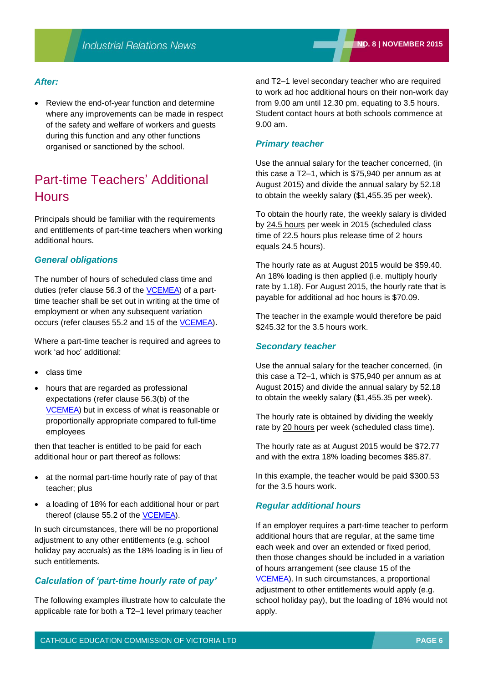#### *After:*

 Review the end-of-year function and determine where any improvements can be made in respect of the safety and welfare of workers and guests during this function and any other functions organised or sanctioned by the school.

### Part-time Teachers' Additional **Hours**

Principals should be familiar with the requirements and entitlements of part-time teachers when working additional hours.

#### *General obligations*

The number of hours of scheduled class time and duties (refer clause 56.3 of the [VCEMEA\)](http://www.cecv.catholic.edu.au/vcsa/Agreement_2013/VCEMEA_2013.pdf) of a parttime teacher shall be set out in writing at the time of employment or when any subsequent variation occurs (refer clauses 55.2 and 15 of the [VCEMEA\)](http://www.cecv.catholic.edu.au/vcsa/Agreement_2013/VCEMEA_2013.pdf).

Where a part-time teacher is required and agrees to work 'ad hoc' additional:

- class time
- hours that are regarded as professional expectations (refer clause 56.3(b) of the [VCEMEA\)](http://www.cecv.catholic.edu.au/vcsa/Agreement_2013/VCEMEA_2013.pdf) but in excess of what is reasonable or proportionally appropriate compared to full-time employees

then that teacher is entitled to be paid for each additional hour or part thereof as follows:

- at the normal part-time hourly rate of pay of that teacher; plus
- a loading of 18% for each additional hour or part thereof (clause 55.2 of the **VCEMEA**).

In such circumstances, there will be no proportional adjustment to any other entitlements (e.g. school holiday pay accruals) as the 18% loading is in lieu of such entitlements.

### *Calculation of 'part-time hourly rate of pay'*

The following examples illustrate how to calculate the applicable rate for both a T2–1 level primary teacher

and T2–1 level secondary teacher who are required to work ad hoc additional hours on their non-work day from 9.00 am until 12.30 pm, equating to 3.5 hours. Student contact hours at both schools commence at 9.00 am.

#### *Primary teacher*

Use the annual salary for the teacher concerned, (in this case a T2–1, which is \$75,940 per annum as at August 2015) and divide the annual salary by 52.18 to obtain the weekly salary (\$1,455.35 per week).

To obtain the hourly rate, the weekly salary is divided by 24.5 hours per week in 2015 (scheduled class time of 22.5 hours plus release time of 2 hours equals 24.5 hours).

The hourly rate as at August 2015 would be \$59.40. An 18% loading is then applied (i.e. multiply hourly rate by 1.18). For August 2015, the hourly rate that is payable for additional ad hoc hours is \$70.09.

The teacher in the example would therefore be paid \$245.32 for the 3.5 hours work.

#### *Secondary teacher*

Use the annual salary for the teacher concerned, (in this case a T2–1, which is \$75,940 per annum as at August 2015) and divide the annual salary by 52.18 to obtain the weekly salary (\$1,455.35 per week).

The hourly rate is obtained by dividing the weekly rate by 20 hours per week (scheduled class time).

The hourly rate as at August 2015 would be \$72.77 and with the extra 18% loading becomes \$85.87.

In this example, the teacher would be paid \$300.53 for the 3.5 hours work.

#### *Regular additional hours*

If an employer requires a part-time teacher to perform additional hours that are regular, at the same time each week and over an extended or fixed period, then those changes should be included in a variation of hours arrangement (see clause 15 of the [VCEMEA\)](http://www.cecv.catholic.edu.au/vcsa/Agreement_2013/VCEMEA_2013.pdf). In such circumstances, a proportional adjustment to other entitlements would apply (e.g. school holiday pay), but the loading of 18% would not apply.